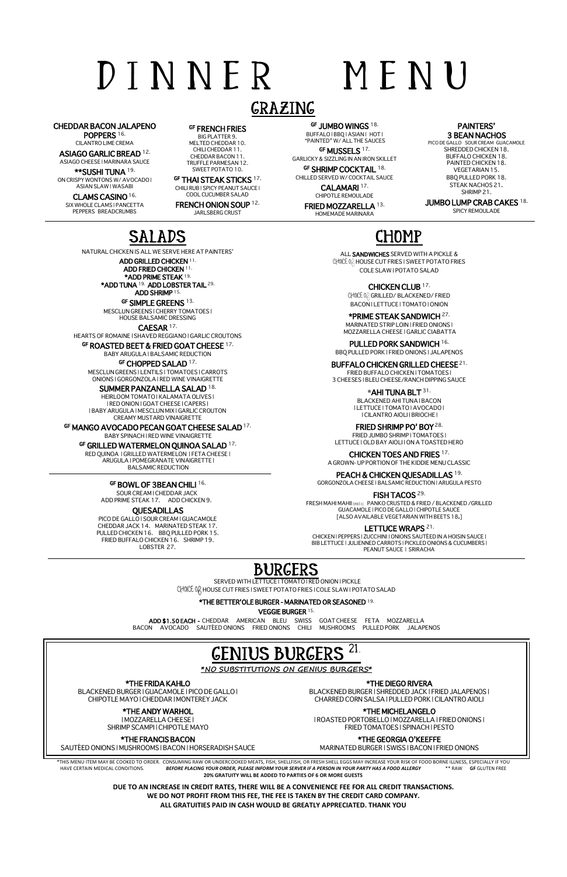# D I N N E R M E N U

# GRAZING

CHEDDAR BACON JALAPENO POPPERS 16.

CILANTRO LIME CREMA

**ASIAGO GARLIC BREAD <sup>12.</sup><br>ASIAGO CHEESE I MARINARA SAUCE** 

\*\*SUSHI TUNA 19. ON CRISPY WONTONS W/ AVOCADO | ASIAN SLAW | WASABI

GF **FRENCH FRIES**<br>BIG PLATTER 9. MELTED CHEDDAR 10. CHILI CHEDDAR 11. CHEDDAR BACON 11.

CLAMS CASINO 16. SIX WHOLE CLAMS | PANCETTA PEPPERS BREADCRUMBS

 $G$ F JUMBO WINGS  $18$ . BUFFALO | BBQ | ASIAN | HOT | "PAINTED" W/ ALL THE SAUCES

GF MUSSELS 17.

## PAINTERS' **3 BEAN NACHOS**<br>PICO DE GALLO SOUR CREAM GUACAMOLE

TRUFFLE PARMESAN 12. SWEET POTATO 10. GF THAI STEAK STICKS 17. CHILI RUB | SPICY PEANUT SAUCE |

COOL CUCUMBER SALAD FRENCH ONION SOUP 12. JARLSBERG CRUST

JUMBO LUMP CRAB CAKES 18. SPICY REMOULADE

\*ADD TUNA 19. ADD LOBSTER TAIL 29. ADD SHRIMP 15.

GF SIMPLE GREENS 13. MESCLUN GREENS | CHERRY TOMATOES | GARLICKY & SIZZLING IN AN IRON SKILLET GF SHRIMP COCKTAIL 18. CHILLED SERVED W/ COCKTAIL SAUCE

> CALAMARI 17. CHIPOTLE REMOULADE

FRIED MOZZARELLA 13. HOMEMADE MARINARA

SHREDDED CHICKEN 18. BUFFALO CHICKEN 18. PAINTED CHICKEN 18. VEGETARIAN 15. BBQ PULLED PORK 18. STEAK NACHOS 21. SHRIMP 21.

# SALADS

NATURAL CHICKEN IS ALL WE SERVE HERE AT PAINTERS'

ADD GRILLED CHICKEN 11. ADD FRIED CHICKEN 11. \*ADD PRIME STEAK 19.

HOUSE BALSAMIC DRESSING

CAESAR 17. HEARTS OF ROMAINE | SHAVED REGGIANO | GARLIC CROUTONS

GF ROASTED BEET & FRIED GOAT CHEESE 17.

FRIED SHRIMP PO' BOY 28. FRIED JUMBO SHRIMP | TOMATOES | LETTUCE | OLD BAY AIOLI | ON A TOASTED HERO

BABY ARUGULA | BALSAMIC REDUCTION

GF CHOPPED SALAD 17.

MESCLUN GREENS | LENTILS | TOMATOES | CARROTS ONIONS | GORGONZOLA | RED WINE VINAIGRETTE

#### SUMMER PANZANELLA SALAD 18.

HEIRLOOM TOMATO | KALAMATA OLIVES | | RED ONION | GOAT CHEESE | CAPERS | | BABY ARUGULA | MESCLUN MIX | GARLIC CROUTON CREAMY MUSTARD VINAIGRETTE

GF MANGO AVOCADO PECAN GOAT CHEESE SALAD<sup>17.</sup>

BABY SPINACH | RED WINE VINAIGRETTE

#### GF GRILLED WATERMELON QUINOA SALAD 17.

RED QUINOA | GRILLED WATERMELON | FETA CHEESE | ARUGULA | POMEGRANATE VINAIGRETTE | BALSAMIC REDUCTION

#### GF BOWL OF 3BEAN CHILI<sup>16.</sup>

 SOUR CREAM | CHEDDAR JACK ADD PRIME STEAK 17. ADD CHICKEN 9.

#### **QUESADILLAS**

PICO DE GALLO | SOUR CREAM | GUACAMOLE CHEDDAR JACK 14. MARINATED STEAK 17. PULLED CHICKEN 16. BBQ PULLED PORK 15. FRIED BUFFALO CHICKEN 16. SHRIMP 19. LOBSTER 27.

CHOMP

ALL SANDWICHES SERVED WITH A PICKLE & **CHOICE O**F HOUSE CUT FRIES | SWEET POTATO FRIES COLE SLAW | POTATO SALAD

.<br>THIS MENU ITEM MAY BE COOKED TO ORDER. CONSUMING RAW OR UNDERCOOKED MEATS, FISH, SHELLFISH, OR FRESH SHELL EGGS MAY INCREASE YOUR RISK OF FOOD BORNE ILLNESS, ESPECIALLY IF YOU HAVE CERTAIN MEDICAL CONDITIONS. *BEFORE PLACING YOUR ORDER, PLEASE INFORM YOUR SERVER IF A PERSON IN YOUR PARTY HAS A FOOD ALLERGY* \*\* RAW **GF** GLUTEN FREE **20% GRATUITY WILL BE ADDED TO PARTIES OF 6 OR MORE GUESTS**

CHICKEN CLUB 17. CHOICE O<sub>R</sub> GRILLED/ BLACKENED/ FRIED BACON | LETTUCE | TOMATO | ONION \*PRIME STEAK SANDWICH 27.

MARINATED STRIP LOIN | FRIED ONIONS | MOZZARELLA CHEESE | GARLIC CIABATTA

PULLED PORK SANDWICH 16. BBQ PULLED PORK | FRIED ONIONS | JALAPENOS

BUFFALO CHICKEN GRILLED CHEESE 21.

FRIED BUFFALO CHICKEN | TOMATOES | 3 CHEESES | BLEU CHEESE/RANCH DIPPING SAUCE

**\***AHI TUNA BLT 31.

BLACKENED AHI TUNA | BACON | LETTUCE | TOMATO | AVOCADO | | CILANTRO AIOLI | BRIOCHE |

CHICKEN TOES AND FRIES 17. A GROWN- UP PORTION OF THE KIDDIE MENU CLASSIC

PEACH & CHICKEN QUESADILLAS 19.

GORGONZOLA CHEESE | BALSAMIC REDUCTION | ARUGULA PESTO

FISH TACOS<sup>29.</sup>

FRESH MAHI MAHII **CHOICE O**F PANKO CRUSTED & FRIED / BLACKENED /GRILLED GUACAMOLE | PICO DE GALLO | CHIPOTLE SAUCE [ALSO AVAILABLE VEGETARIAN WITH BEETS 18.]

#### LETTUCE WRAPS 21.

CHICKEN | PEPPERS | ZUCCHINI | ONIONS SAUTÉED IN A HOISIN SAUCE | BIB LETTUCE | JULIENNED CARROTS | PICKLED ONIONS & CUCUMBERS | PEANUT SAUCE | SRIRACHA

# BURGERS

SERVED WITH LETTUCE | TOMATO | RED ONION | PICKLE **CHOICE OF** HOUSE CUT FRIES | SWEET POTATO FRIES | COLE SLAW | POTATO SALAD

\*THE BETTER'OLE BURGER - MARINATED OR SEASONED 19.

VEGGIE BURGER 15.

ADD \$1.50 EACH - CHEDDAR AMERICAN BLEU SWISS GOAT CHEESE FETA MOZZARELLA<br>N AVOCADO SAUTÉED ONIONS FRIED ONIONS CHILI MUSHROOMS PULLED PORK JALAPENOS BACON AVOCADO SAUTÉED ONIONS FRIED ONIONS CHILI



**GENIUS BURGERS\*** 

#### \*THE FRIDA KAHLO

BLACKENED BURGER | GUACAMOLE | PICO DE GALLO | CHIPOTLE MAYO | CHEDDAR | MONTEREY JACK

#### \*THE ANDY WARHOL

| MOZZARELLA CHEESE | SHRIMP SCAMPI | CHIPOTLE MAYO

#### \*THE FRANCIS BACON

SAUTÉED ONIONS | MUSHROOMS | BACON | HORSERADISH SAUCE

#### \*THE DIEGO RIVERA

BLACKENED BURGER | SHREDDED JACK | FRIED JALAPENOS | CHARRED CORN SALSA | PULLED PORK | CILANTRO AIOLI

#### \*THE MICHELANGELO

| ROASTED PORTOBELLO | MOZZARELLA | FRIED ONIONS | FRIED TOMATOES | SPINACH | PESTO

#### \*THE GEORGIA O'KEEFFE

MARINATED BURGER | SWISS | BACON | FRIED ONIONS

**DUE TO AN INCREASE IN CREDIT RATES, THERE WILL BE A CONVENIENCE FEE FOR ALL CREDIT TRANSACTIONS. WE DO NOT PROFIT FROM THIS FEE, THE FEE IS TAKEN BY THE CREDIT CARD COMPANY. ALL GRATUITIES PAID IN CASH WOULD BE GREATLY APPRECIATED. THANK YOU**